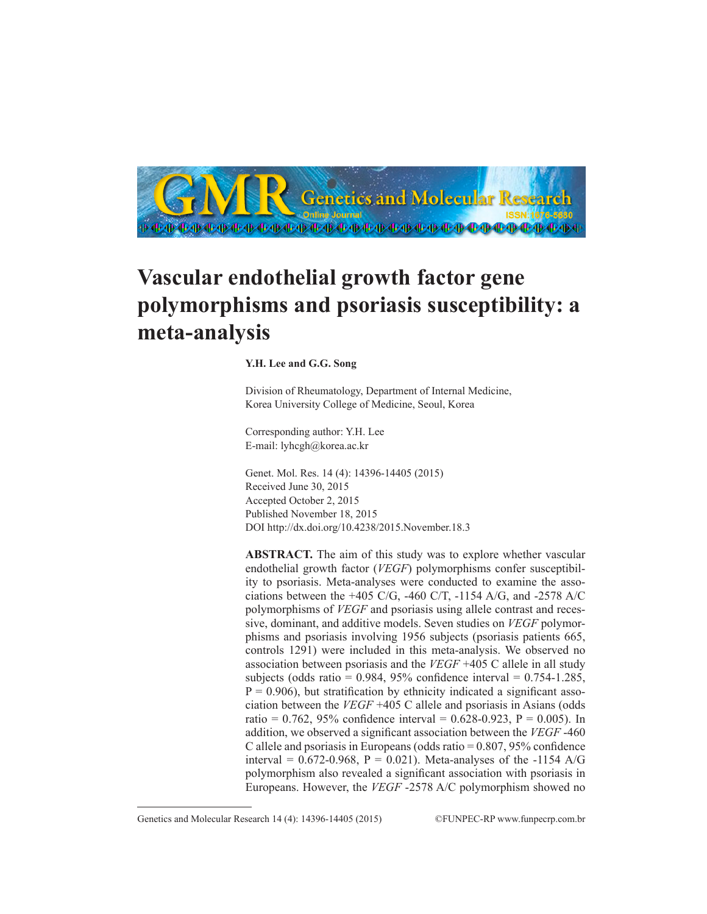

## **Vascular endothelial growth factor gene polymorphisms and psoriasis susceptibility: a meta-analysis**

## **Y.H. Lee and G.G. Song**

Division of Rheumatology, Department of Internal Medicine, Korea University College of Medicine, Seoul, Korea

Corresponding author: Y.H. Lee E-mail: lyhcgh@korea.ac.kr

Genet. Mol. Res. 14 (4): 14396-14405 (2015) Received June 30, 2015 Accepted October 2, 2015 Published November 18, 2015 DOI http://dx.doi.org/10.4238/2015.November.18.3

**ABSTRACT.** The aim of this study was to explore whether vascular endothelial growth factor (*VEGF*) polymorphisms confer susceptibility to psoriasis. Meta-analyses were conducted to examine the associations between the +405 C/G, -460 C/T, -1154 A/G, and -2578 A/C polymorphisms of *VEGF* and psoriasis using allele contrast and recessive, dominant, and additive models. Seven studies on *VEGF* polymorphisms and psoriasis involving 1956 subjects (psoriasis patients 665, controls 1291) were included in this meta-analysis. We observed no association between psoriasis and the *VEGF* +405 C allele in all study subjects (odds ratio =  $0.984$ ,  $95\%$  confidence interval =  $0.754$ -1.285,  $P = 0.906$ , but stratification by ethnicity indicated a significant association between the *VEGF* +405 C allele and psoriasis in Asians (odds ratio = 0.762, 95% confidence interval = 0.628-0.923, P = 0.005). In addition, we observed a significant association between the *VEGF* -460 C allele and psoriasis in Europeans (odds ratio  $= 0.807, 95\%$  confidence interval =  $0.672 - 0.968$ , P = 0.021). Meta-analyses of the -1154 A/G polymorphism also revealed a significant association with psoriasis in Europeans. However, the *VEGF* -2578 A/C polymorphism showed no

Genetics and Molecular Research 14 (4): 14396-14405 (2015) ©FUNPEC-RP www.funpecrp.com.br